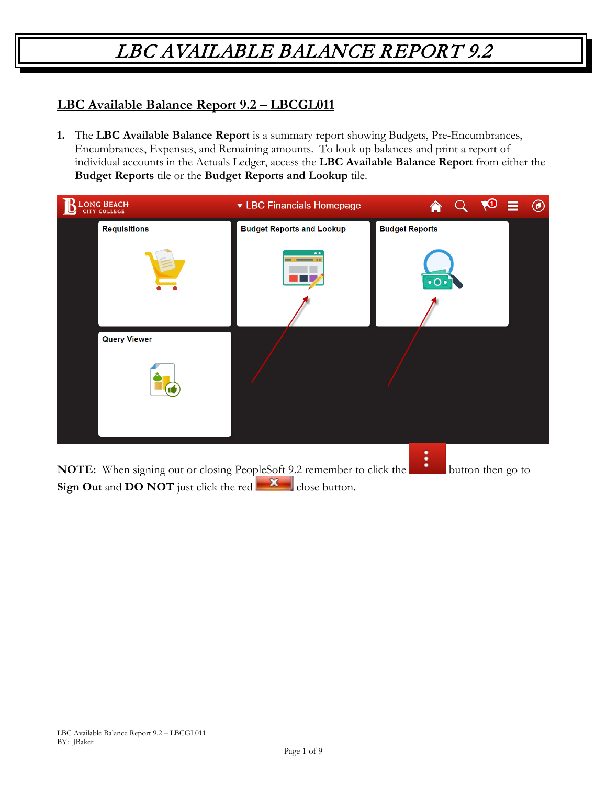#### **LBC Available Balance Report 9.2 – LBCGL011**

**1.** The **LBC Available Balance Report** is a summary report showing Budgets, Pre-Encumbrances, Encumbrances, Expenses, and Remaining amounts. To look up balances and print a report of individual accounts in the Actuals Ledger, access the **LBC Available Balance Report** from either the **Budget Reports** tile or the **Budget Reports and Lookup** tile.

| LONG BEACH          | ▼ LBC Financials Homepage        | 合                                           | $\sqrt{10}$ | 言 | $^{\circledR}$ |
|---------------------|----------------------------------|---------------------------------------------|-------------|---|----------------|
| <b>Requisitions</b> | <b>Budget Reports and Lookup</b> | <b>Budget Reports</b>                       |             |   |                |
|                     |                                  | $\overline{\bullet}$ O $\overline{\bullet}$ |             |   |                |
| <b>Query Viewer</b> |                                  |                                             |             |   |                |
|                     |                                  |                                             |             |   |                |
|                     |                                  |                                             |             |   |                |

**NOTE:** When signing out or closing PeopleSoft 9.2 remember to click the **button** button then go to **Sign Out** and **DO NOT** just click the red close button.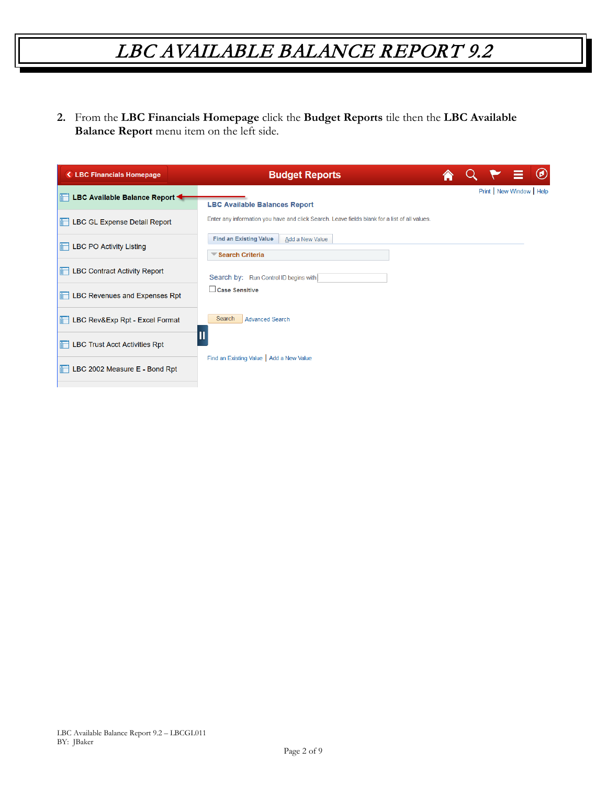**2.** From the **LBC Financials Homepage** click the **Budget Reports** tile then the **LBC Available Balance Report** menu item on the left side.

| ← LBC Financials Homepage                          | <b>Budget Reports</b>                                                                         |  |                       | $\circledcirc$ |
|----------------------------------------------------|-----------------------------------------------------------------------------------------------|--|-----------------------|----------------|
| <b>Example 2 LBC Available Balance Report &lt;</b> | <b>LBC Available Balances Report</b>                                                          |  | Print New Window Help |                |
| <b>Expense Detail Report</b>                       | Enter any information you have and click Search. Leave fields blank for a list of all values. |  |                       |                |
| <b>Education</b> LBC PO Activity Listing           | <b>Find an Existing Value</b><br>Add a New Value<br>Search Criteria                           |  |                       |                |
| <b>Example 1 LBC Contract Activity Report</b>      | Search by: Run Control ID begins with                                                         |  |                       |                |
| <b>Expenses</b> Rpt                                | Case Sensitive                                                                                |  |                       |                |
| <b>Excel Format</b> LBC Rev&Exp Rpt - Excel Format | Search<br><b>Advanced Search</b>                                                              |  |                       |                |
| <b>EDUBER 15 LBC Trust Acct Activities Rpt</b>     |                                                                                               |  |                       |                |
| <b>E</b> LBC 2002 Measure E - Bond Rpt             | Find an Existing Value   Add a New Value                                                      |  |                       |                |
|                                                    |                                                                                               |  |                       |                |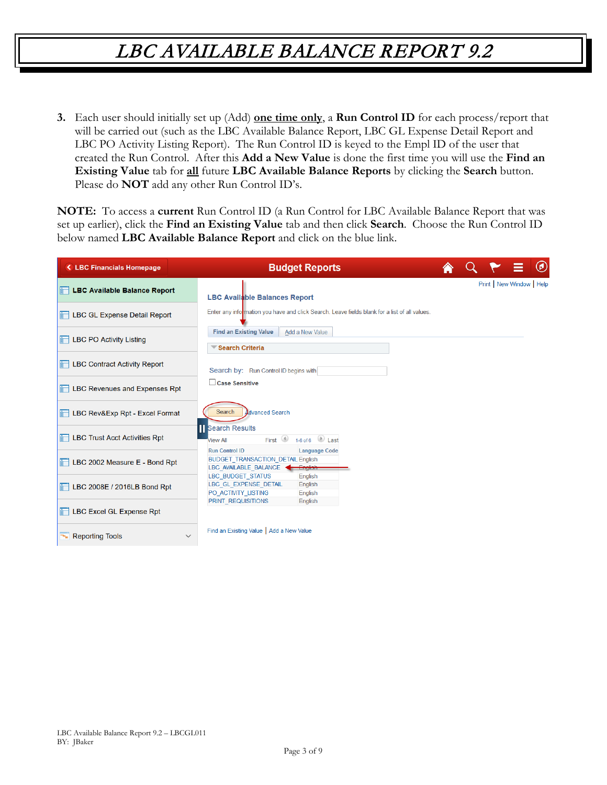**3.** Each user should initially set up (Add) **one time only**, a **Run Control ID** for each process/report that will be carried out (such as the LBC Available Balance Report, LBC GL Expense Detail Report and LBC PO Activity Listing Report). The Run Control ID is keyed to the Empl ID of the user that created the Run Control. After this **Add a New Value** is done the first time you will use the **Find an Existing Value** tab for **all** future **LBC Available Balance Reports** by clicking the **Search** button. Please do **NOT** add any other Run Control ID's.

**NOTE:** To access a **current** Run Control ID (a Run Control for LBC Available Balance Report that was set up earlier), click the **Find an Existing Value** tab and then click **Search**. Choose the Run Control ID below named **LBC Available Balance Report** and click on the blue link.

| <b>&lt; LBC Financials Homepage</b>                | <b>Budget Reports</b>                                                                                                                 |  |                         | $^\copyright$ |
|----------------------------------------------------|---------------------------------------------------------------------------------------------------------------------------------------|--|-------------------------|---------------|
| <b>EDC Available Balance Report</b>                | <b>LBC Available Balances Report</b>                                                                                                  |  | Print New Window   Help |               |
| <b>EDUAL LBC GL Expense Detail Report</b>          | Enter any information you have and click Search. Leave fields blank for a list of all values.                                         |  |                         |               |
| <b>THE LBC PO Activity Listing</b>                 | <b>Find an Existing Value</b><br>Add a New Value<br>Search Criteria                                                                   |  |                         |               |
| <b>THE LBC Contract Activity Report</b>            | Search by: Run Control ID begins with                                                                                                 |  |                         |               |
| <b>Expenses</b> Rpt LBC Revenues and Expenses Rpt  | Case Sensitive                                                                                                                        |  |                         |               |
| <b>Excel Format</b> LBC Rev&Exp Rpt - Excel Format | Search<br>Advanced Search                                                                                                             |  |                         |               |
| <b>Example 15 LBC Trust Acct Activities Rpt</b>    | <b>Search Results</b><br>1-6 of 6 $\Box$ Last<br>First $\bigcirc$<br><b>View All</b>                                                  |  |                         |               |
| <b>THE LBC 2002 Measure E - Bond Rpt</b>           | <b>Run Control ID</b><br><b>Language Code</b><br><b>BUDGET TRANSACTION_DETAIL English</b><br>LBC AVAILABLE BALANCE<br><b>Lingiish</b> |  |                         |               |
| $\Box$ LBC 2008E / 2016LB Bond Rpt                 | <b>LBC BUDGET STATUS</b><br>English<br>LBC_GL_EXPENSE_DETAIL<br>English<br>PO ACTIVITY LISTING<br>English                             |  |                         |               |
| <b>LBC Excel GL Expense Rpt</b>                    | <b>PRINT REQUISITIONS</b><br>English                                                                                                  |  |                         |               |
| Reporting Tools<br>$\checkmark$                    | Find an Existing Value   Add a New Value                                                                                              |  |                         |               |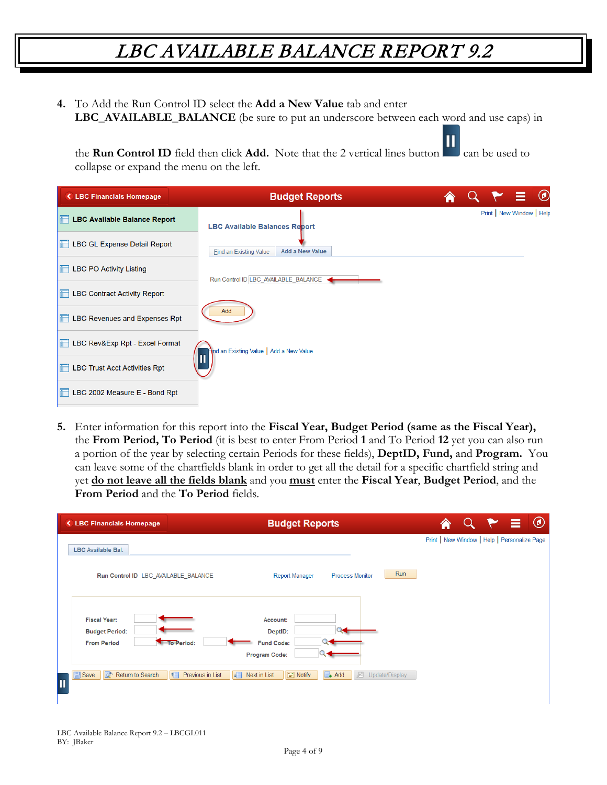**4.** To Add the Run Control ID select the **Add a New Value** tab and enter **LBC\_AVAILABLE\_BALANCE** (be sure to put an underscore between each word and use caps) in

Ш the **Run Control ID** field then click **Add.** Note that the 2 vertical lines button can be used to collapse or expand the menu on the left.

| <b>&lt; LBC Financials Homepage</b>                | <b>Budget Reports</b>                            |  | $\equiv$ 0                |  |
|----------------------------------------------------|--------------------------------------------------|--|---------------------------|--|
| <b>ED LBC Available Balance Report</b>             | <b>LBC Available Balances Report</b>             |  | Print   New Window   Help |  |
| <b>Expense Detail Report</b>                       | Add a New Value<br><b>Find an Existing Value</b> |  |                           |  |
| <b>Example 12 LBC PO Activity Listing</b>          | Run Control ID LBC_AVAILABLE_BALANCE <           |  |                           |  |
| <b>EDUBC Contract Activity Report</b>              |                                                  |  |                           |  |
| <b>Expenses</b> Rpt Expenses Rpt                   | Add                                              |  |                           |  |
| <b>Excel Format</b> LBC Rev&Exp Rpt - Excel Format | ind an Existing Value   Add a New Value          |  |                           |  |
| <b>EDUBC Trust Acct Activities Rpt</b>             | Ш                                                |  |                           |  |
| LBC 2002 Measure E - Bond Rpt                      |                                                  |  |                           |  |

**5.** Enter information for this report into the **Fiscal Year, Budget Period (same as the Fiscal Year),**  the **From Period, To Period** (it is best to enter From Period **1** and To Period **12** yet you can also run a portion of the year by selecting certain Periods for these fields), **DeptID, Fund,** and **Program.** You can leave some of the chartfields blank in order to get all the detail for a specific chartfield string and yet **do not leave all the fields blank** and you **must** enter the **Fiscal Year**, **Budget Period**, and the **From Period** and the **To Period** fields.

| <b><lbc b="" financials="" homepage<=""></lbc></b>                               | <b>Budget Reports</b>                                                        | $\circledcirc$                               |
|----------------------------------------------------------------------------------|------------------------------------------------------------------------------|----------------------------------------------|
| LBC Available Bal.                                                               |                                                                              | Print   New Window   Help   Personalize Page |
| Run Control ID LBC_AVAILABLE_BALANCE                                             | Run<br><b>Report Manager</b><br><b>Process Monitor</b>                       |                                              |
| <b>Fiscal Year:</b><br><b>Budget Period:</b><br><b>From Period</b><br>To Period: | Account:<br>DeptID:<br><b>Fund Code:</b><br><b>Program Code:</b>             |                                              |
| Return to Search<br>H<br><b>日</b> Save<br>Previous in List<br>Π                  | 理<br>$\boxed{=}$ Notify<br>因<br>Next in List<br>$\Box$ Add<br>Update/Display |                                              |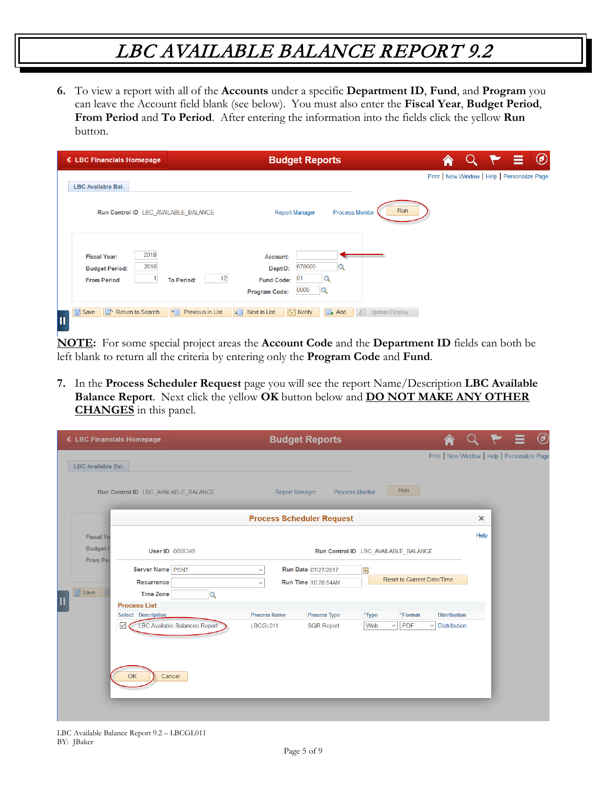**6.** To view a report with all of the **Accounts** under a specific **Department ID**, **Fund**, and **Program** you can leave the Account field blank (see below). You must also enter the **Fiscal Year**, **Budget Period**, **From Period** and **To Period**. After entering the information into the fields click the yellow **Run** button.

| <b>&lt; LBC Financials Homepage</b>                                                | <b>Budget Reports</b>                                                                                                              |                                              |  | $\circledcirc$ |
|------------------------------------------------------------------------------------|------------------------------------------------------------------------------------------------------------------------------------|----------------------------------------------|--|----------------|
| <b>LBC Available Bal.</b>                                                          |                                                                                                                                    | Print   New Window   Help   Personalize Page |  |                |
| Run Control ID LBC AVAILABLE BALANCE                                               | Run<br><b>Report Manager</b><br><b>Process Monitor</b>                                                                             |                                              |  |                |
| 2018<br><b>Fiscal Year:</b><br>2018<br><b>Budget Period:</b><br><b>From Period</b> | Account:<br>678000<br>DeptID:<br>12<br>01<br><b>Fund Code:</b><br><b>To Period:</b><br>0000<br>$\mathbf Q$<br><b>Program Code:</b> |                                              |  |                |
| $\boxed{=}$ Save<br>Return to Search<br>$\blacksquare$                             | ■<br><b>E</b> Notify<br>Previous in List<br>Next in List<br>$\Box$ Add<br>廻<br>Update/Display<br>$\uparrow$                        |                                              |  |                |

**NOTE:** For some special project areas the **Account Code** and the **Department ID** fields can both be left blank to return all the criteria by entering only the **Program Code** and **Fund**.

**7.** In the **Process Scheduler Request** page you will see the report Name/Description **LBC Available Balance Report**. Next click the yellow **OK** button below and **DO NOT MAKE ANY OTHER CHANGES** in this panel.

|                                 | < LBC Financials Homepage                                 | <b>Budget Reports</b>                      |                                      |                     |          |                                              | $^{\circledR}$ |
|---------------------------------|-----------------------------------------------------------|--------------------------------------------|--------------------------------------|---------------------|----------|----------------------------------------------|----------------|
| LBC Available Bal.              |                                                           |                                            |                                      |                     |          | Print   New Window   Help   Personalize Page |                |
|                                 | Run Control ID LBC_AVAILABLE_BALANCE                      | <b>Report Manager</b>                      | Run<br><b>Process Monitor</b>        |                     |          |                                              |                |
|                                 |                                                           | <b>Process Scheduler Request</b>           |                                      |                     | $\times$ |                                              |                |
| <b>Fiscal Ye</b>                |                                                           |                                            |                                      |                     | Help     |                                              |                |
| <b>Budget</b><br><b>From Pe</b> | <b>User ID 0005349</b>                                    |                                            | Run Control ID LBC_AVAILABLE_BALANCE |                     |          |                                              |                |
|                                 | Server Name PSNT                                          | Run Date 07/27/2017<br>$\checkmark$        | H                                    |                     |          |                                              |                |
|                                 | Recurrence                                                | Run Time 10:28:54AM<br>$\checkmark$        | Reset to Current Date/Time           |                     |          |                                              |                |
| <b>同</b> Save                   | <b>Time Zone</b><br>Q                                     |                                            |                                      |                     |          |                                              |                |
| I                               | <b>Process List</b>                                       |                                            |                                      |                     |          |                                              |                |
|                                 | Select Description                                        | <b>Process Name</b><br><b>Process Type</b> | *Type<br>*Format                     | <b>Distribution</b> |          |                                              |                |
|                                 | <b>LBC Available Balances Report</b><br>☑<br>OK<br>Cancel | LBCGL011<br><b>SQR Report</b>              | PDF<br>Web<br>$\checkmark$           | $\vee$ Distribution |          |                                              |                |
|                                 |                                                           |                                            |                                      |                     |          |                                              |                |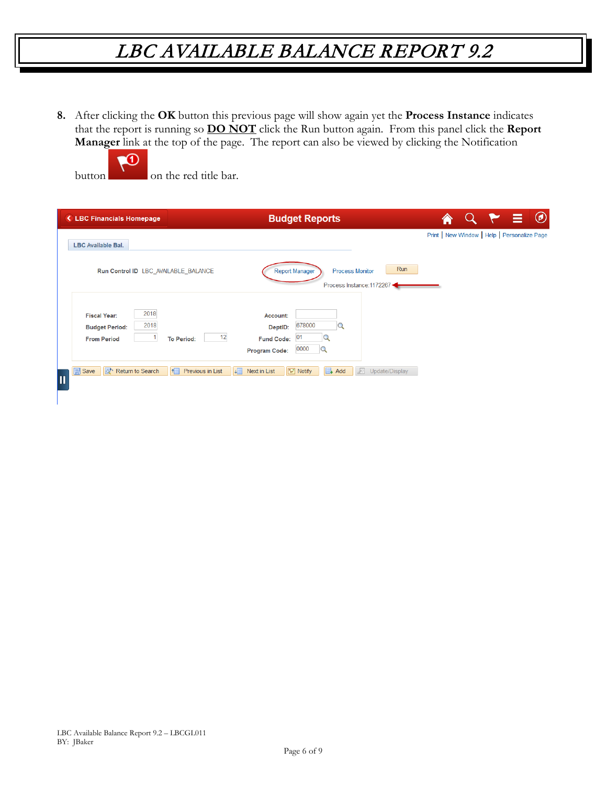**8.** After clicking the **OK** button this previous page will show again yet the **Process Instance** indicates that the report is running so **DO NOT** click the Run button again. From this panel click the **Report Manager** link at the top of the page. The report can also be viewed by clicking the Notification



| ← LBC Financials Homepage                                                          | <b>Budget Reports</b>                                                                                                 |                                              |  | $\bullet$ |
|------------------------------------------------------------------------------------|-----------------------------------------------------------------------------------------------------------------------|----------------------------------------------|--|-----------|
| <b>LBC Available Bal.</b>                                                          |                                                                                                                       | Print   New Window   Help   Personalize Page |  |           |
| Run Control ID LBC AVAILABLE BALANCE                                               | Run<br><b>Report Manager</b><br><b>Process Monitor</b><br>Process Instance: 1172267                                   |                                              |  |           |
| 2018<br><b>Fiscal Year:</b><br>2018<br><b>Budget Period:</b><br><b>From Period</b> | Account:<br>678000<br>DeptID:<br>12<br>01<br><b>Fund Code:</b><br><b>To Period:</b><br>0000<br>Q<br>Program Code:     |                                              |  |           |
| Return to Search<br><b>同</b> Save<br>llat∙<br>$\overline{\mathbf{u}}$              | H<br>$\boxed{\equiv}$ Notify<br>$\Box$ Add<br>Previous in List<br>$\downarrow$<br>因<br>Next in List<br>Update/Display |                                              |  |           |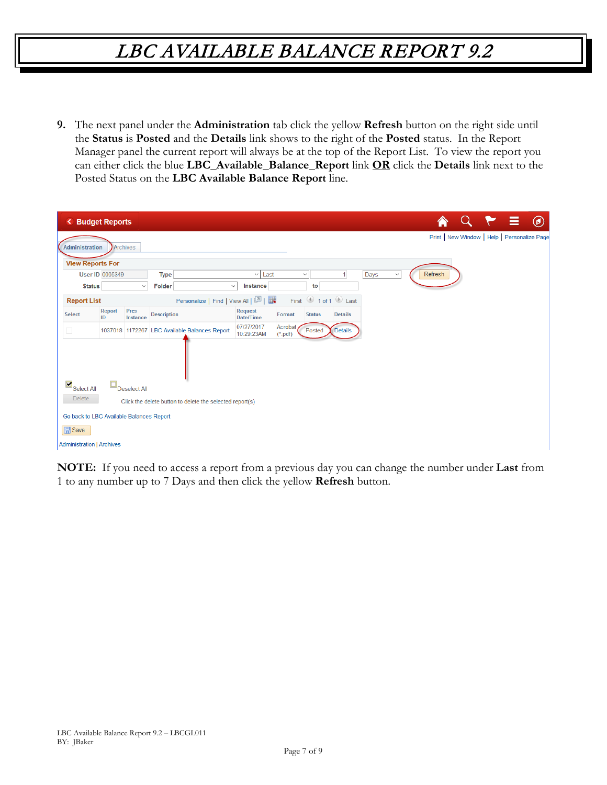**9.** The next panel under the **Administration** tab click the yellow **Refresh** button on the right side until the **Status** is **Posted** and the **Details** link shows to the right of the **Posted** status. In the Report Manager panel the current report will always be at the top of the Report List. To view the report you can either click the blue **LBC\_Available\_Balance\_Report** link **OR** click the **Details** link next to the Posted Status on the **LBC Available Balance Report** line.

| ≺                                        | <b>Budget Reports</b>  |                     |                                                           |                             |                      |               |                |      |              |         |  | Ξ | $\circledcirc$                               |
|------------------------------------------|------------------------|---------------------|-----------------------------------------------------------|-----------------------------|----------------------|---------------|----------------|------|--------------|---------|--|---|----------------------------------------------|
| Administration                           |                        | <b>Archives</b>     |                                                           |                             |                      |               |                |      |              |         |  |   | Print   New Window   Help   Personalize Page |
| <b>View Reports For</b>                  |                        |                     |                                                           |                             |                      |               |                |      |              |         |  |   |                                              |
|                                          | <b>User ID 0005349</b> |                     | <b>Type</b>                                               | $\vee$ Last                 |                      | $\checkmark$  |                | Days | $\checkmark$ | Refresh |  |   |                                              |
| <b>Status</b>                            |                        | $\checkmark$        | <b>Folder</b>                                             | Instance<br>$\checkmark$    |                      | to            |                |      |              |         |  |   |                                              |
| <b>Report List</b>                       |                        |                     | Personalize   Find   View All   $\boxed{2}$   $\boxed{+}$ |                             | First                |               | 1 of 1 2 Last  |      |              |         |  |   |                                              |
| <b>Select</b>                            | Report<br>ID           | Prcs<br>Instance    | <b>Description</b>                                        | <b>Request</b><br>Date/Time | Format               | <b>Status</b> | <b>Details</b> |      |              |         |  |   |                                              |
|                                          |                        |                     | 1037018 1172267 LBC Available Balances Report             | 07/27/2017<br>10:29:23AM    | Acrobat<br>$(*.pdf)$ | Posted        | Details        |      |              |         |  |   |                                              |
| $Select$ All                             |                        | $\Box$ Deselect All |                                                           |                             |                      |               |                |      |              |         |  |   |                                              |
| <b>Delete</b>                            |                        |                     |                                                           |                             |                      |               |                |      |              |         |  |   |                                              |
|                                          |                        |                     | Click the delete button to delete the selected report(s)  |                             |                      |               |                |      |              |         |  |   |                                              |
| Go back to LBC Available Balances Report |                        |                     |                                                           |                             |                      |               |                |      |              |         |  |   |                                              |
| <b>日</b> Save                            |                        |                     |                                                           |                             |                      |               |                |      |              |         |  |   |                                              |
| <b>Administration   Archives</b>         |                        |                     |                                                           |                             |                      |               |                |      |              |         |  |   |                                              |

**NOTE:** If you need to access a report from a previous day you can change the number under **Last** from 1 to any number up to 7 Days and then click the yellow **Refresh** button.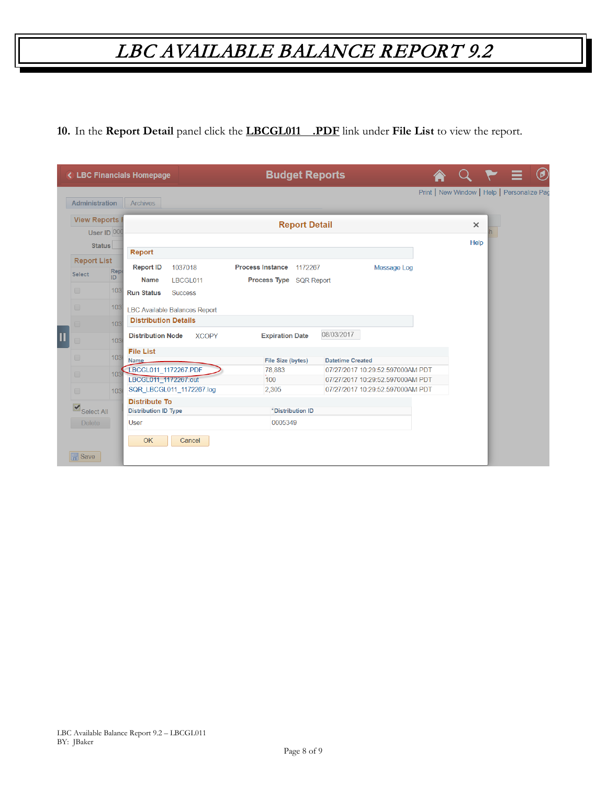**10.** In the **Report Detail** panel click the **LBCGL011 .PDF** link under **File List** to view the report.

|                   |                         |      | < LBC Financials Homepage    |                                      |                         |                             |                      | <b>Budget Reports</b>   |                                  |                                             |  | $^\copyright$ |
|-------------------|-------------------------|------|------------------------------|--------------------------------------|-------------------------|-----------------------------|----------------------|-------------------------|----------------------------------|---------------------------------------------|--|---------------|
|                   | Administration          |      | <b>Archives</b>              |                                      |                         |                             |                      |                         |                                  | Print   New Window   Help   Personalize Pac |  |               |
|                   | <b>View Reports</b>     |      |                              |                                      |                         |                             | <b>Report Detail</b> |                         |                                  | $\times$                                    |  |               |
|                   | User ID 000             |      |                              |                                      |                         |                             |                      |                         |                                  | Help                                        |  |               |
|                   | <b>Status</b>           |      | Report                       |                                      |                         |                             |                      |                         |                                  |                                             |  |               |
|                   | <b>Report List</b>      | Rep  | <b>Report ID</b>             | 1037018                              | <b>Process Instance</b> |                             | 1172267              |                         | Message Log                      |                                             |  |               |
| <b>Select</b>     |                         | ID   | <b>Name</b>                  | LBCGL011                             | Process Type SQR Report |                             |                      |                         |                                  |                                             |  |               |
| $\Box$            |                         | 1031 | <b>Run Status</b>            | <b>Success</b>                       |                         |                             |                      |                         |                                  |                                             |  |               |
| $\Box$            |                         | 1031 |                              | <b>LBC Available Balances Report</b> |                         |                             |                      |                         |                                  |                                             |  |               |
|                   |                         | 103  | <b>Distribution Details</b>  |                                      |                         |                             |                      |                         |                                  |                                             |  |               |
| $\Box$            |                         | 1036 | <b>Distribution Node</b>     | <b>XCOPY</b>                         |                         | <b>Expiration Date</b>      |                      | 08/03/2017              |                                  |                                             |  |               |
| $\Box$            |                         | 103( | <b>File List</b>             |                                      |                         |                             |                      |                         |                                  |                                             |  |               |
|                   |                         |      | Name<br>LBCGL011 1172267.PDF |                                      |                         | File Size (bytes)<br>78,883 |                      | <b>Datetime Created</b> | 07/27/2017 10:29:52.597000AM PDT |                                             |  |               |
| $\Box$            |                         | 103  | LBCGL011 1172267.out         |                                      | 100                     |                             |                      |                         | 07/27/2017 10:29:52.597000AM PDT |                                             |  |               |
| $\Box$            |                         | 1036 |                              | SQR_LBCGL011_1172267.log             | 2,305                   |                             |                      |                         | 07/27/2017 10:29:52.597000AM PDT |                                             |  |               |
|                   |                         |      | <b>Distribute To</b>         |                                      |                         |                             |                      |                         |                                  |                                             |  |               |
|                   | $\mathbf{S}$ Select All |      | <b>Distribution ID Type</b>  |                                      |                         |                             | *Distribution ID     |                         |                                  |                                             |  |               |
|                   | Delete                  |      | <b>User</b>                  |                                      |                         | 0005349                     |                      |                         |                                  |                                             |  |               |
|                   |                         |      | <b>OK</b>                    | Cancel                               |                         |                             |                      |                         |                                  |                                             |  |               |
|                   |                         |      |                              |                                      |                         |                             |                      |                         |                                  |                                             |  |               |
| $\mathbb{R}$ Save |                         |      |                              |                                      |                         |                             |                      |                         |                                  |                                             |  |               |